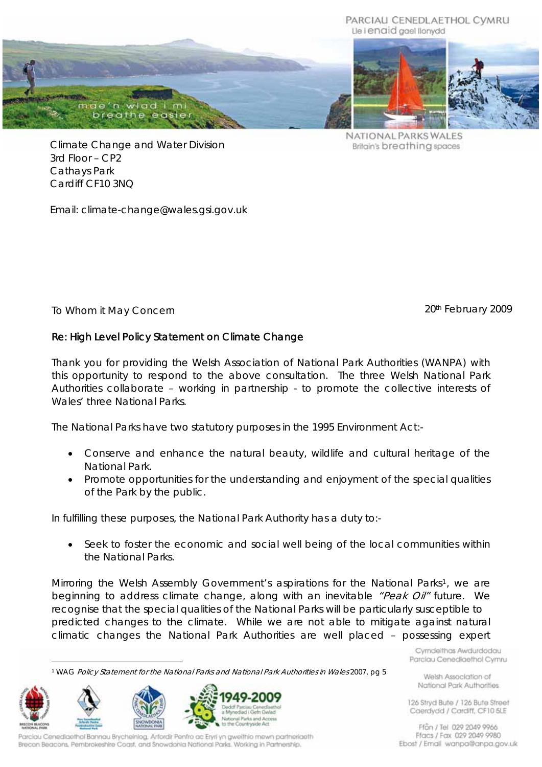#### PARCIALI CENEDLAETHOL CVMRU Lle i enaid gael llonydd



NATIONAL PARKS WALES Britain's breathing spaces

Climate Change and Water Division 3rd Floor – CP2 Cathays Park Cardiff CF10 3NQ

Email: climate-change@wales.gsi.gov.uk

To Whom it May Concern February 2009

# Re: High Level Policy Statement on Climate Change

Thank you for providing the Welsh Association of National Park Authorities (WANPA) with this opportunity to respond to the above consultation. The three Welsh National Park Authorities collaborate – working in partnership - to promote the collective interests of Wales' three National Parks.

The National Parks have two statutory purposes in the 1995 Environment Act:-

- Conserve and enhance the natural beauty, wildlife and cultural heritage of the National Park.
- Promote opportunities for the understanding and enjoyment of the special qualities of the Park by the public.

In fulfilling these purposes, the National Park Authority has a duty to:-

• Seek to foster the economic and social well being of the local communities within the National Parks.

Mirroring the Welsh Assembly Government's aspirations for the National Parks<sup>[1](#page-0-0)</sup>, we are beginning to address climate change, along with an inevitable "Peak Oil" future. We recognise that the special qualities of the National Parks will be particularly susceptible to predicted changes to the climate. While we are not able to mitigate against natural climatic changes the National Park Authorities are well placed – possessing expert

 $\overline{a}$ 1 WAG Policy Statement for the National Parks and National Park Authorities in Wales 2007, pg 5

<span id="page-0-0"></span>

Parciau Cenediaethol Bannau Brycheiniog, Arfordir Penfro ac Ervri yn gweithio mewn partneriaeth Brecon Beacons, Pembrokeshire Coast, and Snowdonia National Parks. Working in Partnership.

Cymdeithas Awdurdodau Parciau Cenediaethol Cymru

Welsh Association of National Park Authorities

126 Stryd Bute / 126 Bute Street Caerdydd / Cardiff, CF10 5LE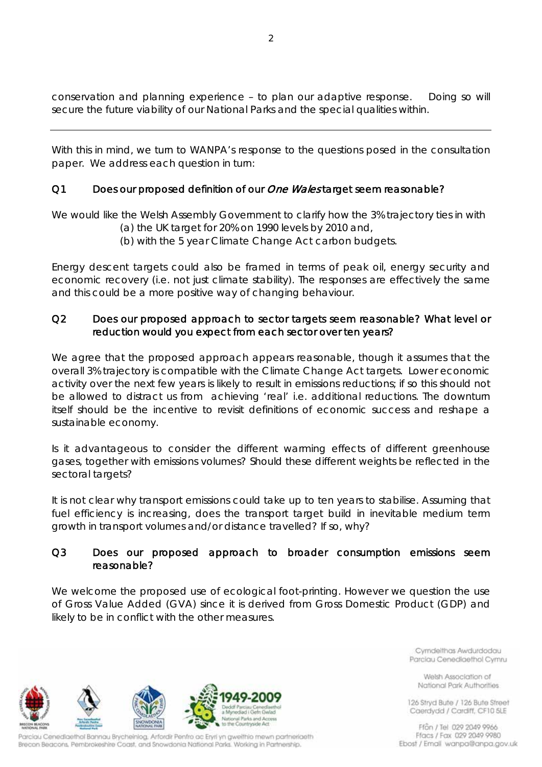conservation and planning experience – to plan our adaptive response. Doing so will secure the future viability of our National Parks and the special qualities within.

With this in mind, we turn to WANPA's response to the questions posed in the consultation paper. We address each question in turn:

# Q1 Does our proposed definition of our One Wales target seem reasonable?

We would like the Welsh Assembly Government to clarify how the 3% trajectory ties in with

- (a) the UK target for 20% on 1990 levels by 2010 and,
- (b) with the 5 year Climate Change Act carbon budgets.

Energy descent targets could also be framed in terms of peak oil, energy security and economic recovery (i.e. not just climate stability). The responses are effectively the same and this could be a more positive way of changing behaviour.

# Q2 Does our proposed approach to sector targets seem reasonable? What level or reduction would you expect from each sector over ten years?

We agree that the proposed approach appears reasonable, though it assumes that the overall 3% trajectory is compatible with the Climate Change Act targets. Lower economic activity over the next few years is likely to result in emissions reductions; if so this should not be allowed to distract us from achieving 'real' i.e. additional reductions. The downturn itself should be the incentive to revisit definitions of economic success and reshape a sustainable economy.

Is it advantageous to consider the different warming effects of different greenhouse gases, together with emissions volumes? Should these different weights be reflected in the sectoral targets?

It is not clear why transport emissions could take up to ten years to stabilise. Assuming that fuel efficiency is increasing, does the transport target build in inevitable medium term growth in transport volumes and/or distance travelled? If so, why?

### Q3 Does our proposed approach to broader consumption emissions seem reasonable?

We welcome the proposed use of ecological foot-printing. However we question the use of Gross Value Added (GVA) since it is derived from Gross Domestic Product (GDP) and likely to be in conflict with the other measures.

Countryside Act

Parciau Cenediaethol Bannau Brycheiniog, Arfordir Penfro ac Ervri yn gweithio mewn partneriaeth Brecon Beacons, Pembrokeshire Coast, and Snowdonia National Parks. Working in Partnership.

Cymdeithas Awdurdodau Parciau Cenediaethol Cymru

Welsh Association of National Park Authorities

126 Stryd Bute / 126 Bute Street Caerdydd / Cardiff, CF10 5LE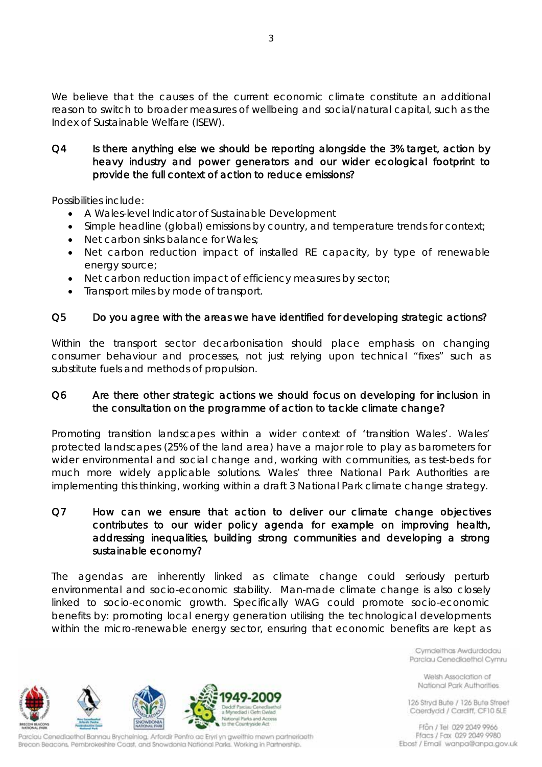We believe that the causes of the current economic climate constitute an additional reason to switch to broader measures of wellbeing and social/natural capital, such as the Index of Sustainable Welfare (ISEW).

Q4 Is there anything else we should be reporting alongside the 3% target, action by heavy industry and power generators and our wider ecological footprint to provide the full context of action to reduce emissions?

Possibilities include:

- A Wales-level Indicator of Sustainable Development
- Simple headline (global) emissions by country, and temperature trends for context;
- Net carbon sinks balance for Wales;
- Net carbon reduction impact of installed RE capacity, by type of renewable energy source;
- Net carbon reduction impact of efficiency measures by sector;
- Transport miles by mode of transport.

### Q5 Do you agree with the areas we have identified for developing strategic actions?

Within the transport sector decarbonisation should place emphasis on changing consumer behaviour and processes, not just relying upon technical "fixes" such as substitute fuels and methods of propulsion.

### Q6 Are there other strategic actions we should focus on developing for inclusion in the consultation on the programme of action to tackle climate change?

Promoting transition landscapes within a wider context of 'transition Wales'. Wales' protected landscapes (25% of the land area) have a major role to play as barometers for wider environmental and social change and, working with communities, as test-beds for much more widely applicable solutions. Wales' three National Park Authorities are implementing this thinking, working within a draft 3 National Park climate change strategy.

### Q7 How can we ensure that action to deliver our climate change objectives contributes to our wider policy agenda for example on improving health, addressing inequalities, building strong communities and developing a strong sustainable economy?

The agendas are inherently linked as climate change could seriously perturb environmental and socio-economic stability. Man-made climate change is also closely linked to socio-economic growth. Specifically WAG could promote socio-economic benefits by: promoting local energy generation utilising the technological developments within the micro-renewable energy sector, ensuring that economic benefits are kept as

> cliad i Gefn Gwlad al Parks and Access to the Countryside Act

Cymdeithas Awdurdodau Parciau Cenediaethol Cymru

Welsh Association of National Park Authorities

126 Stryd Bute / 126 Bute Street Caerdydd / Cardiff, CF10 5LE

Ffon / Tel 029 2049 9966 Ffacs / Fax 029 2049 9980 Ebost / Email wanpa@anpa.gov.uk

Parciau Cenediaethol Bannau Brycheiniog, Arfordir Penfro ac Ervri yn gweithio mewn partneriaeth Brecon Beacons, Pembrokeshire Coast, and Snowdonia National Parks. Working in Partnership.

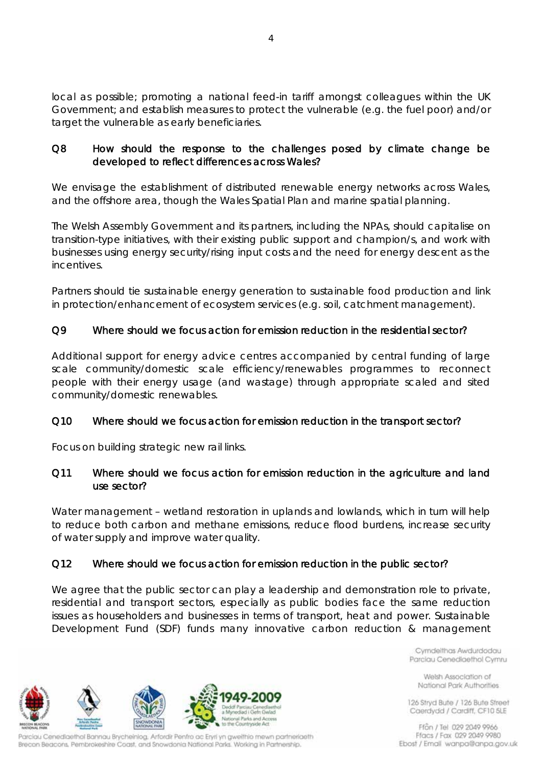local as possible; promoting a national feed-in tariff amongst colleagues within the UK Government; and establish measures to protect the vulnerable (e.g. the fuel poor) and/or target the vulnerable as early beneficiaries.

# Q8 How should the response to the challenges posed by climate change be developed to reflect differences across Wales?

We envisage the establishment of distributed renewable energy networks across Wales, and the offshore area, though the Wales Spatial Plan and marine spatial planning.

The Welsh Assembly Government and its partners, including the NPAs, should capitalise on transition-type initiatives, with their existing public support and champion/s, and work with businesses using energy security/rising input costs and the need for energy descent as the incentives.

Partners should tie sustainable energy generation to sustainable food production and link in protection/enhancement of ecosystem services (e.g. soil, catchment management).

# Q9 Where should we focus action for emission reduction in the residential sector?

Additional support for energy advice centres accompanied by central funding of large scale community/domestic scale efficiency/renewables programmes to reconnect people with their energy usage (and wastage) through appropriate scaled and sited community/domestic renewables.

# Q10 Where should we focus action for emission reduction in the transport sector?

Focus on building strategic new rail links.

### Q11 Where should we focus action for emission reduction in the agriculture and land use sector?

Water management – wetland restoration in uplands and lowlands, which in turn will help to reduce both carbon and methane emissions, reduce flood burdens, increase security of water supply and improve water quality.

# Q12 Where should we focus action for emission reduction in the public sector?

cliad i Gefn Gwlad al Parks and Access to the Countryside Act

We agree that the public sector can play a leadership and demonstration role to private, residential and transport sectors, especially as public bodies face the same reduction issues as householders and businesses in terms of transport, heat and power. Sustainable Development Fund (SDF) funds many innovative carbon reduction & management

> Cymdeithas Awdurdodau Parciau Cenediaethol Cymru

Welsh Association of National Park Authorities

126 Stryd Bute / 126 Bute Street Caerdydd / Cardiff, CF10 5LE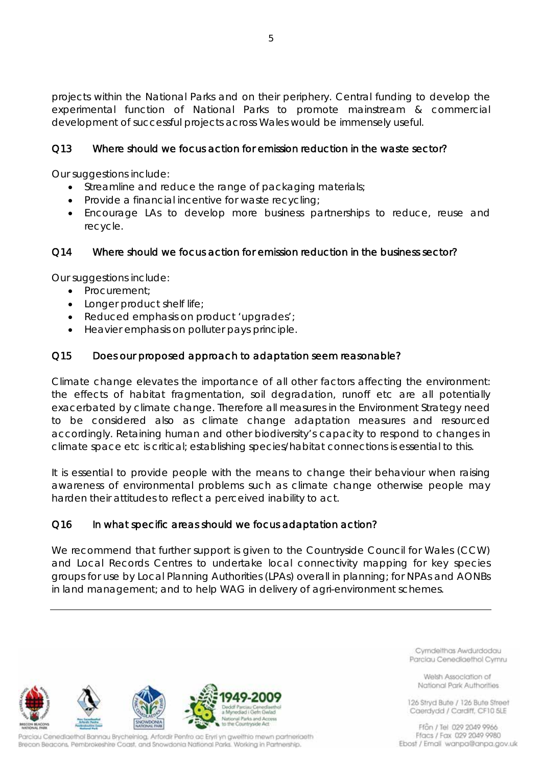projects within the National Parks and on their periphery. Central funding to develop the experimental function of National Parks to promote mainstream & commercial development of successful projects across Wales would be immensely useful.

# Q13 Where should we focus action for emission reduction in the waste sector?

Our suggestions include:

- Streamline and reduce the range of packaging materials;
- Provide a financial incentive for waste recycling;
- Encourage LAs to develop more business partnerships to reduce, reuse and recycle.

### Q14 Where should we focus action for emission reduction in the business sector?

Our suggestions include:

- Procurement;
- Longer product shelf life;
- Reduced emphasis on product 'upgrades';
- Heavier emphasis on polluter pays principle.

### Q15 Does our proposed approach to adaptation seem reasonable?

Climate change elevates the importance of all other factors affecting the environment: the effects of habitat fragmentation, soil degradation, runoff etc are all potentially exacerbated by climate change. Therefore all measures in the Environment Strategy need to be considered also as climate change adaptation measures and resourced accordingly. Retaining human and other biodiversity's capacity to respond to changes in climate space etc is critical; establishing species/habitat connections is essential to this.

It is essential to provide people with the means to change their behaviour when raising awareness of environmental problems such as climate change otherwise people may harden their attitudes to reflect a perceived inability to act.

#### Q16 In what specific areas should we focus adaptation action?

We recommend that further support is given to the Countryside Council for Wales (CCW) and Local Records Centres to undertake local connectivity mapping for key species groups for use by Local Planning Authorities (LPAs) overall in planning; for NPAs and AONBs in land management; and to help WAG in delivery of agri-environment schemes.

to the Countryside Act

Parciau Cenediaethol Bannau Brycheiniog, Arfordir Penfro ac Ervri yn gweithio mewn partneriaeth Brecon Beacons, Pembrokeshire Coast, and Snowdonia National Parks. Working in Partnership.

Cymdelthas Awdurdodau Parciau Cenediaethol Cymru

Welsh Association of National Park Authorities

126 Stryd Bute / 126 Bute Street Caerdydd / Cardiff, CF10 5LE